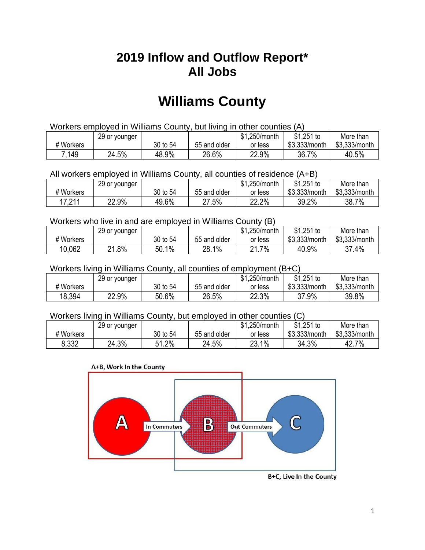## **2019 Inflow and Outflow Report\* All Jobs**

# **Williams County**

| Workers employed in Williams County, but living in other counties (A) |                                                            |          |              |         |               |               |  |  |  |
|-----------------------------------------------------------------------|------------------------------------------------------------|----------|--------------|---------|---------------|---------------|--|--|--|
|                                                                       | $$1,251$ to<br>\$1.250/month<br>More than<br>29 or younger |          |              |         |               |               |  |  |  |
| # Workers                                                             |                                                            | 30 to 54 | 55 and older | or less | \$3.333/month | \$3,333/month |  |  |  |
| 7.149                                                                 | 24.5%                                                      | 48.9%    | 26.6%        | 22.9%   | 36.7%         | 40.5%         |  |  |  |

All workers employed in Williams County, all counties of residence (A+B)

|                              | 29 or younger |          |              | \$1,250/month | \$1,251 to    | More than     |
|------------------------------|---------------|----------|--------------|---------------|---------------|---------------|
| # Workers                    |               | 30 to 54 | 55 and older | or less       | \$3,333/month | \$3,333/month |
| 17 911<br>$\cdot$ . $\sim$ . | 22.9%         | 49.6%    | 27.5%        | 22.2%         | 39.2%         | 38.7%         |

#### Workers who live in and are employed in Williams County (B)

|           | 29 or younger |          |              | \$1,250/month | $$1,251$ to   | More than     |
|-----------|---------------|----------|--------------|---------------|---------------|---------------|
| # Workers |               | 30 to 54 | 55 and older | or less       | \$3,333/month | \$3,333/month |
| 10,062    | $.8\%$<br>ດ4  | 50.1%    | 28.1%        | .7%،<br>ኅ 1   | 40.9%         | 37.4%         |

#### Workers living in Williams County, all counties of employment (B+C)

|           | 29 or younger |          |              | \$1,250/month | \$1,251 to    | More than     |
|-----------|---------------|----------|--------------|---------------|---------------|---------------|
| # Workers |               | 30 to 54 | 55 and older | or less       | \$3,333/month | \$3,333/month |
| 18,394    | 22.9%         | 50.6%    | 26.5%        | 22.3%         | 37.9%         | 39.8%         |

#### Workers living in Williams County, but employed in other counties (C)

|           | 29 or younger |             |              | \$1,250/month | $$1,251$ to   | More than     |
|-----------|---------------|-------------|--------------|---------------|---------------|---------------|
| # Workers |               | 30 to 54    | 55 and older | or less       | \$3,333/month | \$3,333/month |
| 8,332     | 24.3%         | 1.2%<br>C 4 | 24.5%        | 23.1%         | 34.3%         | 42.7%         |





B+C, Live In the County